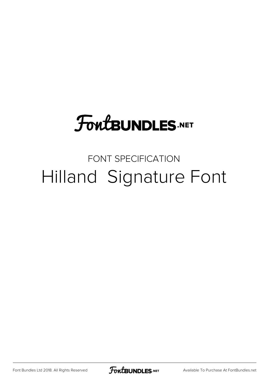## **FoutBUNDLES.NET**

## FONT SPECIFICATION Hilland Signature Font

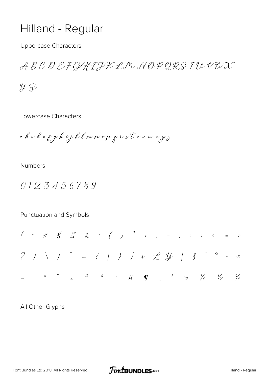## Hilland - Regular

**Uppercase Characters** 

ABCDEFGHIJKLMNOPQRSTUVWX

 $42$ 

Lowercase Characters

a b c d e p g h i j k l m n o p p r s t a v a x y z

**Numbers** 

0123456789

Punctuation and Symbols

All Other Glyphs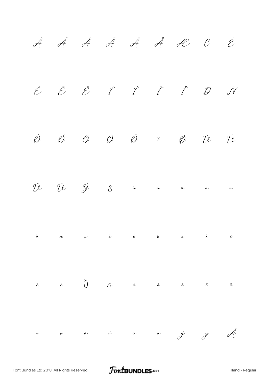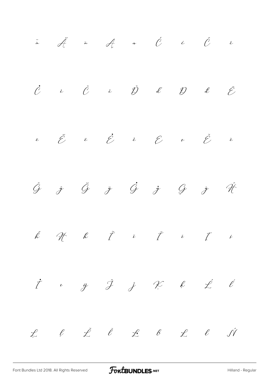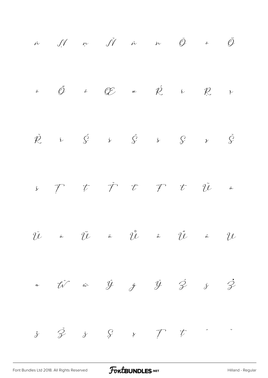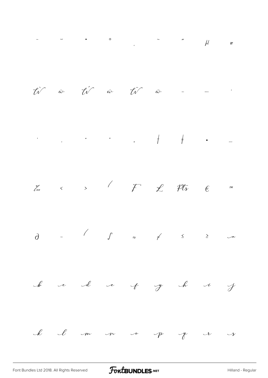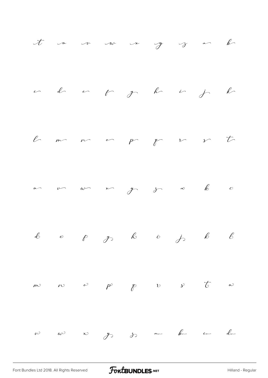